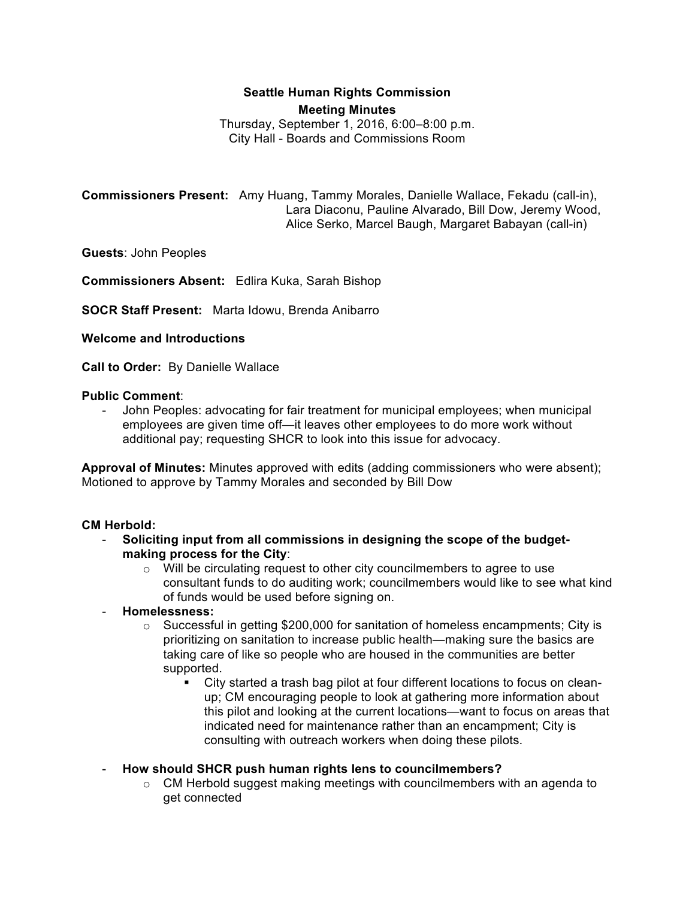# **Seattle Human Rights Commission Meeting Minutes**

Thursday, September 1, 2016, 6:00–8:00 p.m. City Hall - Boards and Commissions Room

**Commissioners Present:** Amy Huang, Tammy Morales, Danielle Wallace, Fekadu (call-in), Lara Diaconu, Pauline Alvarado, Bill Dow, Jeremy Wood, Alice Serko, Marcel Baugh, Margaret Babayan (call-in)

**Guests**: John Peoples

**Commissioners Absent:** Edlira Kuka, Sarah Bishop

**SOCR Staff Present:** Marta Idowu, Brenda Anibarro

### **Welcome and Introductions**

**Call to Order:** By Danielle Wallace

### **Public Comment**:

- John Peoples: advocating for fair treatment for municipal employees; when municipal employees are given time off—it leaves other employees to do more work without additional pay; requesting SHCR to look into this issue for advocacy.

**Approval of Minutes:** Minutes approved with edits (adding commissioners who were absent); Motioned to approve by Tammy Morales and seconded by Bill Dow

# **CM Herbold:**

- **Soliciting input from all commissions in designing the scope of the budgetmaking process for the City**:
	- o Will be circulating request to other city councilmembers to agree to use consultant funds to do auditing work; councilmembers would like to see what kind of funds would be used before signing on.
- **Homelessness:**
	- $\circ$  Successful in getting \$200,000 for sanitation of homeless encampments; City is prioritizing on sanitation to increase public health—making sure the basics are taking care of like so people who are housed in the communities are better supported.
		- City started a trash bag pilot at four different locations to focus on cleanup; CM encouraging people to look at gathering more information about this pilot and looking at the current locations—want to focus on areas that indicated need for maintenance rather than an encampment; City is consulting with outreach workers when doing these pilots.
- **How should SHCR push human rights lens to councilmembers?**
	- $\circ$  CM Herbold suggest making meetings with councilmembers with an agenda to get connected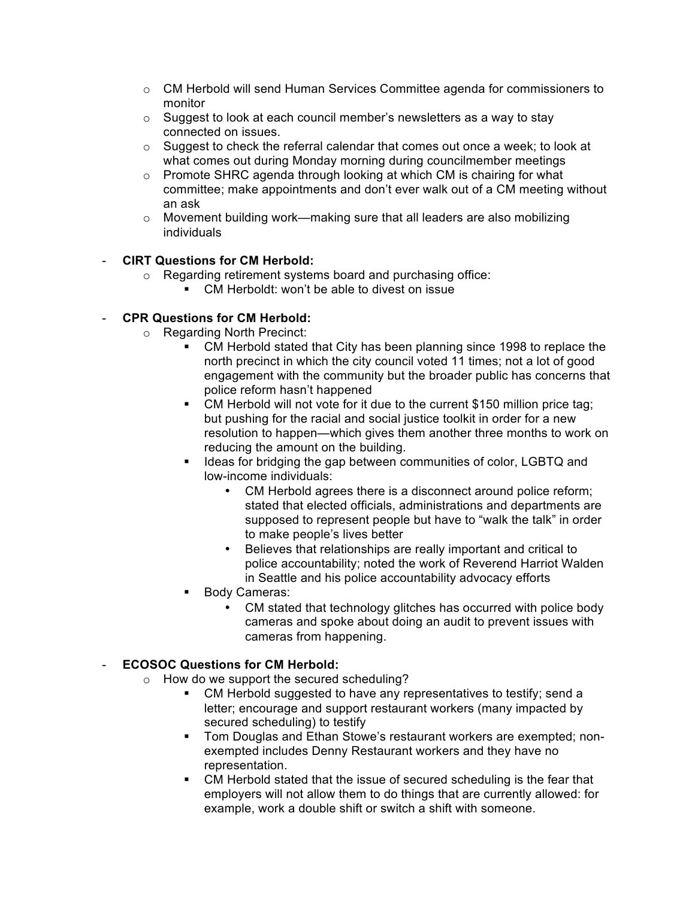- o CM Herbold will send Human Services Committee agenda for commissioners to monitor
- o Suggest to look at each council member's newsletters as a way to stay connected on issues.
- $\circ$  Suggest to check the referral calendar that comes out once a week; to look at what comes out during Monday morning during councilmember meetings
- o Promote SHRC agenda through looking at which CM is chairing for what committee; make appointments and don't ever walk out of a CM meeting without an ask
- $\circ$  Movement building work—making sure that all leaders are also mobilizing individuals

# - **CIRT Questions for CM Herbold:**

- o Regarding retirement systems board and purchasing office:
	- CM Herboldt: won't be able to divest on issue

# - **CPR Questions for CM Herbold:**

- o Regarding North Precinct:
	- § CM Herbold stated that City has been planning since 1998 to replace the north precinct in which the city council voted 11 times; not a lot of good engagement with the community but the broader public has concerns that police reform hasn't happened
	- CM Herbold will not vote for it due to the current \$150 million price tag; but pushing for the racial and social justice toolkit in order for a new resolution to happen—which gives them another three months to work on reducing the amount on the building.
	- Ideas for bridging the gap between communities of color, LGBTQ and low-income individuals:
		- CM Herbold agrees there is a disconnect around police reform; stated that elected officials, administrations and departments are supposed to represent people but have to "walk the talk" in order to make people's lives better
		- Believes that relationships are really important and critical to police accountability; noted the work of Reverend Harriot Walden in Seattle and his police accountability advocacy efforts
	- Body Cameras:
		- CM stated that technology glitches has occurred with police body cameras and spoke about doing an audit to prevent issues with cameras from happening.

# - **ECOSOC Questions for CM Herbold:**

- o How do we support the secured scheduling?
	- CM Herbold suggested to have any representatives to testify; send a letter; encourage and support restaurant workers (many impacted by secured scheduling) to testify
	- Tom Douglas and Ethan Stowe's restaurant workers are exempted; nonexempted includes Denny Restaurant workers and they have no representation.
	- CM Herbold stated that the issue of secured scheduling is the fear that employers will not allow them to do things that are currently allowed: for example, work a double shift or switch a shift with someone.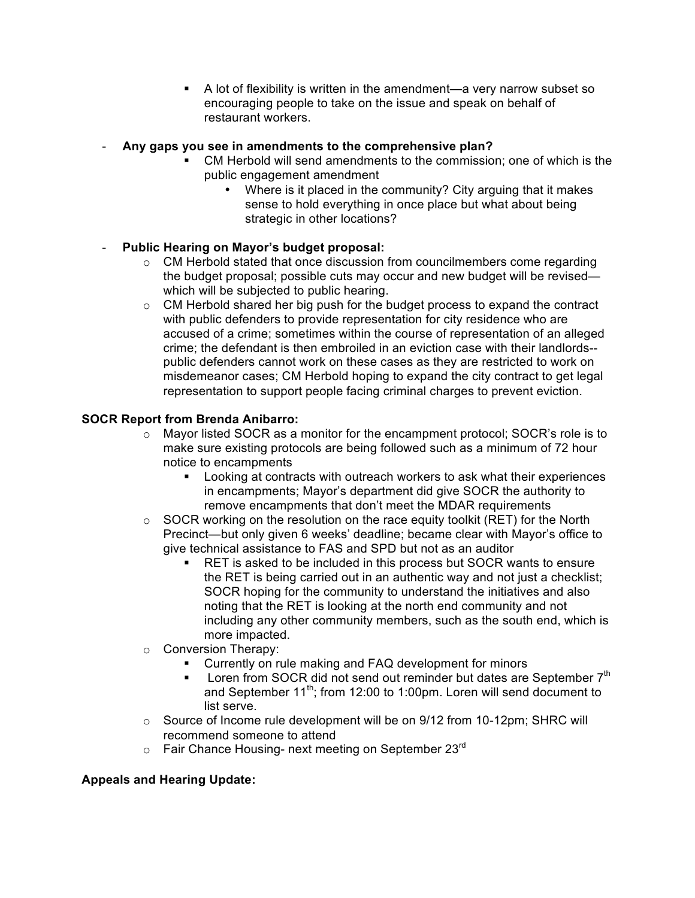■ A lot of flexibility is written in the amendment—a very narrow subset so encouraging people to take on the issue and speak on behalf of restaurant workers.

### - **Any gaps you see in amendments to the comprehensive plan?**

- CM Herbold will send amendments to the commission; one of which is the public engagement amendment
	- Where is it placed in the community? City arguing that it makes sense to hold everything in once place but what about being strategic in other locations?

# - **Public Hearing on Mayor's budget proposal:**

- $\circ$  CM Herbold stated that once discussion from councilmembers come regarding the budget proposal; possible cuts may occur and new budget will be revised which will be subjected to public hearing.
- $\circ$  CM Herbold shared her big push for the budget process to expand the contract with public defenders to provide representation for city residence who are accused of a crime; sometimes within the course of representation of an alleged crime; the defendant is then embroiled in an eviction case with their landlords- public defenders cannot work on these cases as they are restricted to work on misdemeanor cases; CM Herbold hoping to expand the city contract to get legal representation to support people facing criminal charges to prevent eviction.

# **SOCR Report from Brenda Anibarro:**

- $\circ$  Mayor listed SOCR as a monitor for the encampment protocol; SOCR's role is to make sure existing protocols are being followed such as a minimum of 72 hour notice to encampments
	- Looking at contracts with outreach workers to ask what their experiences in encampments; Mayor's department did give SOCR the authority to remove encampments that don't meet the MDAR requirements
- $\circ$  SOCR working on the resolution on the race equity toolkit (RET) for the North Precinct—but only given 6 weeks' deadline; became clear with Mayor's office to give technical assistance to FAS and SPD but not as an auditor
	- RET is asked to be included in this process but SOCR wants to ensure the RET is being carried out in an authentic way and not just a checklist; SOCR hoping for the community to understand the initiatives and also noting that the RET is looking at the north end community and not including any other community members, such as the south end, which is more impacted.
- o Conversion Therapy:
	- Currently on rule making and FAQ development for minors
	- Loren from SOCR did not send out reminder but dates are September  $7<sup>th</sup>$ and September  $11^{th}$ ; from 12:00 to 1:00pm. Loren will send document to list serve.
- $\circ$  Source of Income rule development will be on 9/12 from 10-12pm; SHRC will recommend someone to attend
- $\circ$  Fair Chance Housing- next meeting on September 23 $^{rd}$

# **Appeals and Hearing Update:**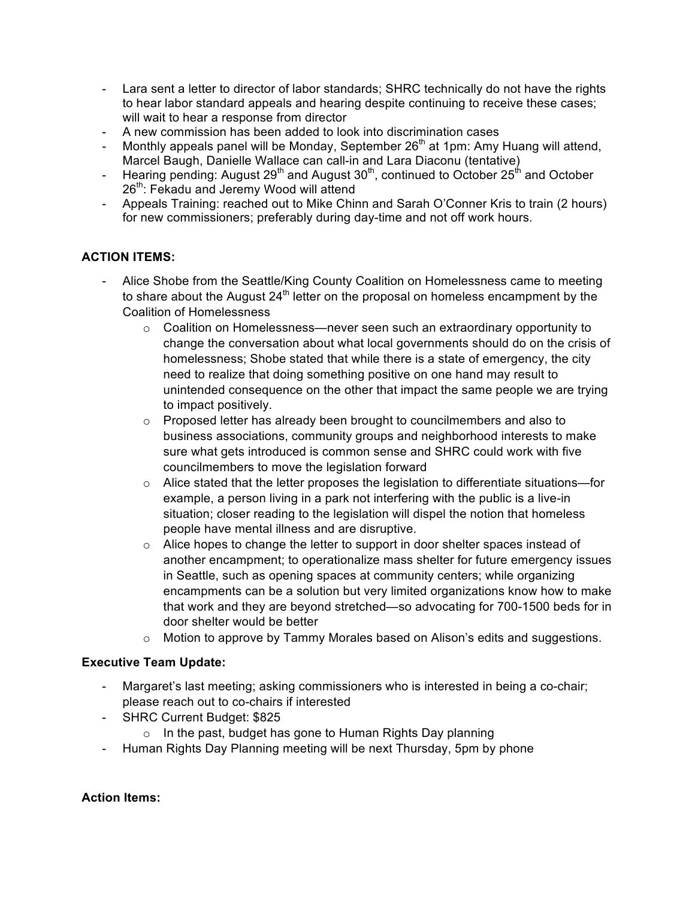- Lara sent a letter to director of labor standards; SHRC technically do not have the rights to hear labor standard appeals and hearing despite continuing to receive these cases; will wait to hear a response from director
- A new commission has been added to look into discrimination cases
- Monthly appeals panel will be Monday, September  $26<sup>th</sup>$  at 1pm: Amy Huang will attend, Marcel Baugh, Danielle Wallace can call-in and Lara Diaconu (tentative)
- Hearing pending: August 29<sup>th</sup> and August  $30<sup>th</sup>$ , continued to October 25<sup>th</sup> and October 26<sup>th</sup>: Fekadu and Jeremy Wood will attend
- Appeals Training: reached out to Mike Chinn and Sarah O'Conner Kris to train (2 hours) for new commissioners; preferably during day-time and not off work hours.

# **ACTION ITEMS:**

- Alice Shobe from the Seattle/King County Coalition on Homelessness came to meeting to share about the August  $24<sup>th</sup>$  letter on the proposal on homeless encampment by the Coalition of Homelessness
	- $\circ$  Coalition on Homelessness—never seen such an extraordinary opportunity to change the conversation about what local governments should do on the crisis of homelessness; Shobe stated that while there is a state of emergency, the city need to realize that doing something positive on one hand may result to unintended consequence on the other that impact the same people we are trying to impact positively.
	- o Proposed letter has already been brought to councilmembers and also to business associations, community groups and neighborhood interests to make sure what gets introduced is common sense and SHRC could work with five councilmembers to move the legislation forward
	- $\circ$  Alice stated that the letter proposes the legislation to differentiate situations—for example, a person living in a park not interfering with the public is a live-in situation; closer reading to the legislation will dispel the notion that homeless people have mental illness and are disruptive.
	- $\circ$  Alice hopes to change the letter to support in door shelter spaces instead of another encampment; to operationalize mass shelter for future emergency issues in Seattle, such as opening spaces at community centers; while organizing encampments can be a solution but very limited organizations know how to make that work and they are beyond stretched—so advocating for 700-1500 beds for in door shelter would be better
	- $\circ$  Motion to approve by Tammy Morales based on Alison's edits and suggestions.

# **Executive Team Update:**

- Margaret's last meeting; asking commissioners who is interested in being a co-chair; please reach out to co-chairs if interested
- SHRC Current Budget: \$825
	- o In the past, budget has gone to Human Rights Day planning
- Human Rights Day Planning meeting will be next Thursday, 5pm by phone

# **Action Items:**